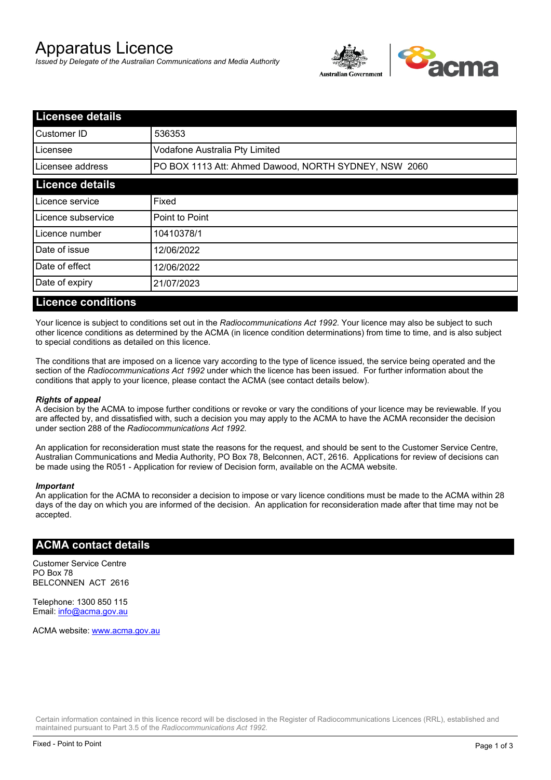# Apparatus Licence

*Issued by Delegate of the Australian Communications and Media Authority*



| <b>Licensee details</b> |                                                       |  |
|-------------------------|-------------------------------------------------------|--|
| lCustomer ID            | 536353                                                |  |
| ILicensee               | Vodafone Australia Pty Limited                        |  |
| Licensee address        | PO BOX 1113 Att: Ahmed Dawood, NORTH SYDNEY, NSW 2060 |  |
| <b>Licence details</b>  |                                                       |  |
| Licence service         | Fixed                                                 |  |
| Licence subservice      | Point to Point                                        |  |
| Licence number          | 10410378/1                                            |  |
| Date of issue           | 12/06/2022                                            |  |
| Date of effect          | 12/06/2022                                            |  |
| Date of expiry          | 21/07/2023                                            |  |
|                         |                                                       |  |

### **Licence conditions**

Your licence is subject to conditions set out in the *Radiocommunications Act 1992*. Your licence may also be subject to such other licence conditions as determined by the ACMA (in licence condition determinations) from time to time, and is also subject to special conditions as detailed on this licence.

The conditions that are imposed on a licence vary according to the type of licence issued, the service being operated and the section of the *Radiocommunications Act 1992* under which the licence has been issued. For further information about the conditions that apply to your licence, please contact the ACMA (see contact details below).

#### *Rights of appeal*

A decision by the ACMA to impose further conditions or revoke or vary the conditions of your licence may be reviewable. If you are affected by, and dissatisfied with, such a decision you may apply to the ACMA to have the ACMA reconsider the decision under section 288 of the *Radiocommunications Act 1992*.

An application for reconsideration must state the reasons for the request, and should be sent to the Customer Service Centre, Australian Communications and Media Authority, PO Box 78, Belconnen, ACT, 2616. Applications for review of decisions can be made using the R051 - Application for review of Decision form, available on the ACMA website.

#### *Important*

An application for the ACMA to reconsider a decision to impose or vary licence conditions must be made to the ACMA within 28 days of the day on which you are informed of the decision. An application for reconsideration made after that time may not be accepted.

#### **ACMA contact details**

Customer Service Centre PO Box 78 BELCONNEN ACT 2616

Telephone: 1300 850 115 Email: info@acma.gov.au

ACMA website: www.acma.gov.au

Certain information contained in this licence record will be disclosed in the Register of Radiocommunications Licences (RRL), established and maintained pursuant to Part 3.5 of the *Radiocommunications Act 1992.*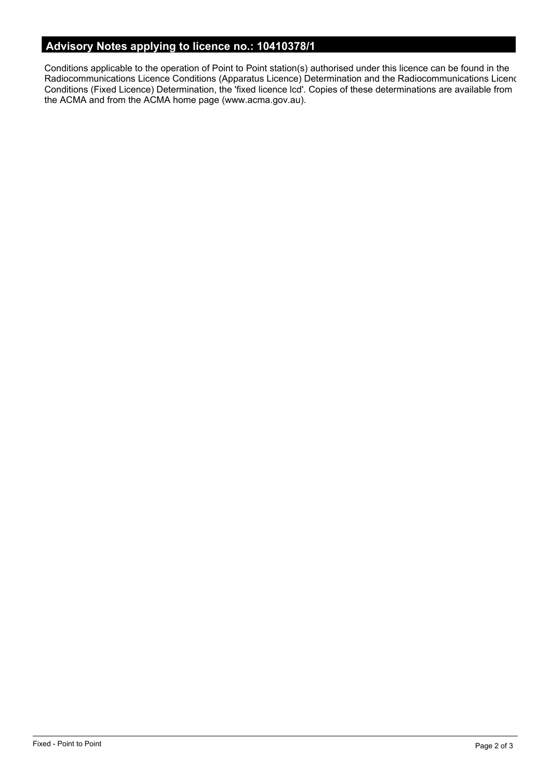# **Advisory Notes applying to licence no.: 10410378/1**

Conditions applicable to the operation of Point to Point station(s) authorised under this licence can be found in the Radiocommunications Licence Conditions (Apparatus Licence) Determination and the Radiocommunications Licence Conditions (Fixed Licence) Determination, the 'fixed licence lcd'. Copies of these determinations are available from the ACMA and from the ACMA home page (www.acma.gov.au).